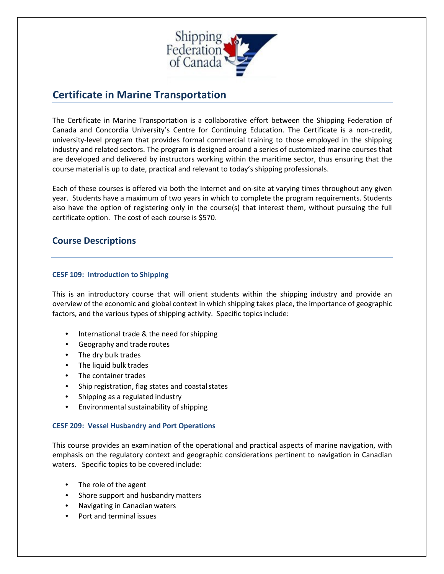

# **Certificate in Marine Transportation**

The Certificate in Marine Transportation is a collaborative effort between the Shipping Federation of Canada and Concordia University's Centre for Continuing Education. The Certificate is a non-credit, university-level program that provides formal commercial training to those employed in the shipping industry and related sectors. The program is designed around a series of customized marine courses that are developed and delivered by instructors working within the maritime sector, thus ensuring that the course material is up to date, practical and relevant to today's shipping professionals.

Each of these courses is offered via both the Internet and on-site at varying times throughout any given year. Students have a maximum of two years in which to complete the program requirements. Students also have the option of registering only in the course(s) that interest them, without pursuing the full certificate option. The cost of each course is \$570.

## **Course Descriptions**

### **CESF 109: Introduction to Shipping**

This is an introductory course that will orient students within the shipping industry and provide an overview of the economic and global context in which shipping takes place, the importance of geographic factors, and the various types of shipping activity. Specific topicsinclude:

- International trade & the need forshipping
- Geography and trade routes
- The dry bulk trades
- The liquid bulk trades
- The container trades
- Ship registration, flag states and coastal states
- Shipping as a regulated industry
- Environmental sustainability of shipping

### **CESF 209: Vessel Husbandry and Port Operations**

This course provides an examination of the operational and practical aspects of marine navigation, with emphasis on the regulatory context and geographic considerations pertinent to navigation in Canadian waters. Specific topics to be covered include:

- The role of the agent
- Shore support and husbandry matters
- Navigating in Canadian waters
- Port and terminal issues